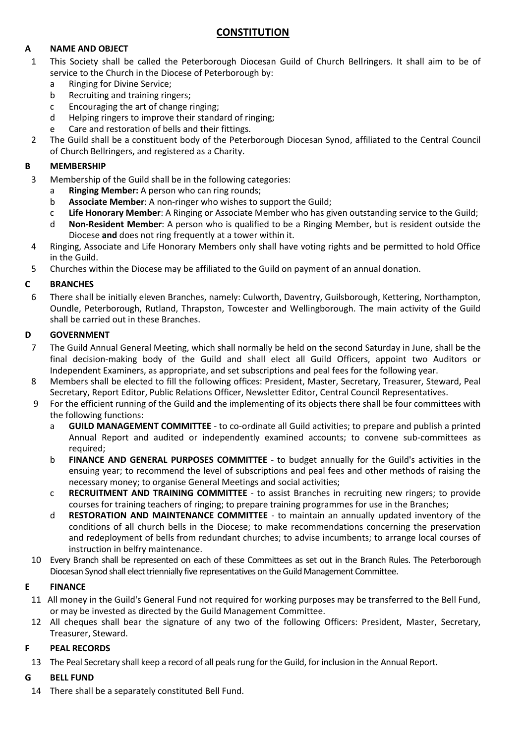# **CONSTITUTION**

### **A NAME AND OBJECT**

- 1 This Society shall be called the Peterborough Diocesan Guild of Church Bellringers. It shall aim to be of service to the Church in the Diocese of Peterborough by:
	- a Ringing for Divine Service;
	- b Recruiting and training ringers;
	- c Encouraging the art of change ringing;
	- d Helping ringers to improve their standard of ringing;
	- e Care and restoration of bells and their fittings.
- 2 The Guild shall be a constituent body of the Peterborough Diocesan Synod, affiliated to the Central Council of Church Bellringers, and registered as a Charity.

#### **B MEMBERSHIP**

- 3 Membership of the Guild shall be in the following categories:
	- a **Ringing Member:** A person who can ring rounds;
	- b **Associate Member**: A non-ringer who wishes to support the Guild;
	- c **Life Honorary Member**: A Ringing or Associate Member who has given outstanding service to the Guild;
	- d **Non-Resident Member**: A person who is qualified to be a Ringing Member, but is resident outside the Diocese **and** does not ring frequently at a tower within it.
- 4 Ringing, Associate and Life Honorary Members only shall have voting rights and be permitted to hold Office in the Guild.
- 5 Churches within the Diocese may be affiliated to the Guild on payment of an annual donation.

#### **C BRANCHES**

6 There shall be initially eleven Branches, namely: Culworth, Daventry, Guilsborough, Kettering, Northampton, Oundle, Peterborough, Rutland, Thrapston, Towcester and Wellingborough. The main activity of the Guild shall be carried out in these Branches.

#### **D GOVERNMENT**

- 7 The Guild Annual General Meeting, which shall normally be held on the second Saturday in June, shall be the final decision-making body of the Guild and shall elect all Guild Officers, appoint two Auditors or Independent Examiners, as appropriate, and set subscriptions and peal fees for the following year.
- 8 Members shall be elected to fill the following offices: President, Master, Secretary, Treasurer, Steward, Peal Secretary, Report Editor, Public Relations Officer, Newsletter Editor, Central Council Representatives.
- 9 For the efficient running of the Guild and the implementing of its objects there shall be four committees with the following functions:
	- a **GUILD MANAGEMENT COMMITTEE** to co-ordinate all Guild activities; to prepare and publish a printed Annual Report and audited or independently examined accounts; to convene sub-committees as required;
	- b **FINANCE AND GENERAL PURPOSES COMMITTEE** to budget annually for the Guild's activities in the ensuing year; to recommend the level of subscriptions and peal fees and other methods of raising the necessary money; to organise General Meetings and social activities;
	- c **RECRUITMENT AND TRAINING COMMITTEE** to assist Branches in recruiting new ringers; to provide courses for training teachers of ringing; to prepare training programmes for use in the Branches;
	- d **RESTORATION AND MAINTENANCE COMMITTEE** to maintain an annually updated inventory of the conditions of all church bells in the Diocese; to make recommendations concerning the preservation and redeployment of bells from redundant churches; to advise incumbents; to arrange local courses of instruction in belfry maintenance.
- 10 Every Branch shall be represented on each of these Committees as set out in the Branch Rules. The Peterborough Diocesan Synod shall elect triennially five representatives on the Guild Management Committee.

#### **E FINANCE**

- 11 All money in the Guild's General Fund not required for working purposes may be transferred to the Bell Fund, or may be invested as directed by the Guild Management Committee.
- 12 All cheques shall bear the signature of any two of the following Officers: President, Master, Secretary, Treasurer, Steward.

#### **F PEAL RECORDS**

13 The Peal Secretary shall keep a record of all peals rung for the Guild, for inclusion in the Annual Report.

#### **G BELL FUND**

14 There shall be a separately constituted Bell Fund.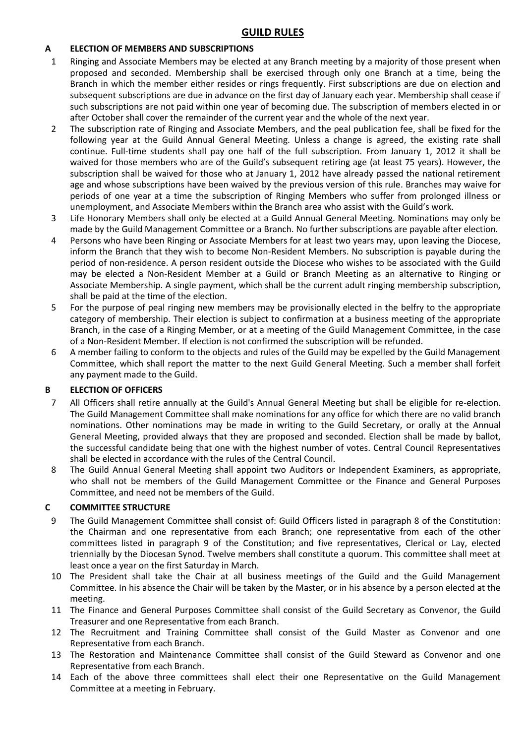### **A ELECTION OF MEMBERS AND SUBSCRIPTIONS**

- 1 Ringing and Associate Members may be elected at any Branch meeting by a majority of those present when proposed and seconded. Membership shall be exercised through only one Branch at a time, being the Branch in which the member either resides or rings frequently. First subscriptions are due on election and subsequent subscriptions are due in advance on the first day of January each year. Membership shall cease if such subscriptions are not paid within one year of becoming due. The subscription of members elected in or after October shall cover the remainder of the current year and the whole of the next year.
- 2 The subscription rate of Ringing and Associate Members, and the peal publication fee, shall be fixed for the following year at the Guild Annual General Meeting. Unless a change is agreed, the existing rate shall continue. Full-time students shall pay one half of the full subscription. From January 1, 2012 it shall be waived for those members who are of the Guild's subsequent retiring age (at least 75 years). However, the subscription shall be waived for those who at January 1, 2012 have already passed the national retirement age and whose subscriptions have been waived by the previous version of this rule. Branches may waive for periods of one year at a time the subscription of Ringing Members who suffer from prolonged illness or unemployment, and Associate Members within the Branch area who assist with the Guild's work.
- 3 Life Honorary Members shall only be elected at a Guild Annual General Meeting. Nominations may only be made by the Guild Management Committee or a Branch. No further subscriptions are payable after election.
- 4 Persons who have been Ringing or Associate Members for at least two years may, upon leaving the Diocese, inform the Branch that they wish to become Non-Resident Members. No subscription is payable during the period of non-residence. A person resident outside the Diocese who wishes to be associated with the Guild may be elected a Non-Resident Member at a Guild or Branch Meeting as an alternative to Ringing or Associate Membership. A single payment, which shall be the current adult ringing membership subscription, shall be paid at the time of the election.
- 5 For the purpose of peal ringing new members may be provisionally elected in the belfry to the appropriate category of membership. Their election is subject to confirmation at a business meeting of the appropriate Branch, in the case of a Ringing Member, or at a meeting of the Guild Management Committee, in the case of a Non-Resident Member. If election is not confirmed the subscription will be refunded.
- 6 A member failing to conform to the objects and rules of the Guild may be expelled by the Guild Management Committee, which shall report the matter to the next Guild General Meeting. Such a member shall forfeit any payment made to the Guild.

#### **B ELECTION OF OFFICERS**

- 7 All Officers shall retire annually at the Guild's Annual General Meeting but shall be eligible for re-election. The Guild Management Committee shall make nominations for any office for which there are no valid branch nominations. Other nominations may be made in writing to the Guild Secretary, or orally at the Annual General Meeting, provided always that they are proposed and seconded. Election shall be made by ballot, the successful candidate being that one with the highest number of votes. Central Council Representatives shall be elected in accordance with the rules of the Central Council.
- 8 The Guild Annual General Meeting shall appoint two Auditors or Independent Examiners, as appropriate, who shall not be members of the Guild Management Committee or the Finance and General Purposes Committee, and need not be members of the Guild.

#### **C COMMITTEE STRUCTURE**

- 9 The Guild Management Committee shall consist of: Guild Officers listed in paragraph 8 of the Constitution: the Chairman and one representative from each Branch; one representative from each of the other committees listed in paragraph 9 of the Constitution; and five representatives, Clerical or Lay, elected triennially by the Diocesan Synod. Twelve members shall constitute a quorum. This committee shall meet at least once a year on the first Saturday in March.
- 10 The President shall take the Chair at all business meetings of the Guild and the Guild Management Committee. In his absence the Chair will be taken by the Master, or in his absence by a person elected at the meeting.
- 11 The Finance and General Purposes Committee shall consist of the Guild Secretary as Convenor, the Guild Treasurer and one Representative from each Branch.
- 12 The Recruitment and Training Committee shall consist of the Guild Master as Convenor and one Representative from each Branch.
- 13 The Restoration and Maintenance Committee shall consist of the Guild Steward as Convenor and one Representative from each Branch.
- 14 Each of the above three committees shall elect their one Representative on the Guild Management Committee at a meeting in February.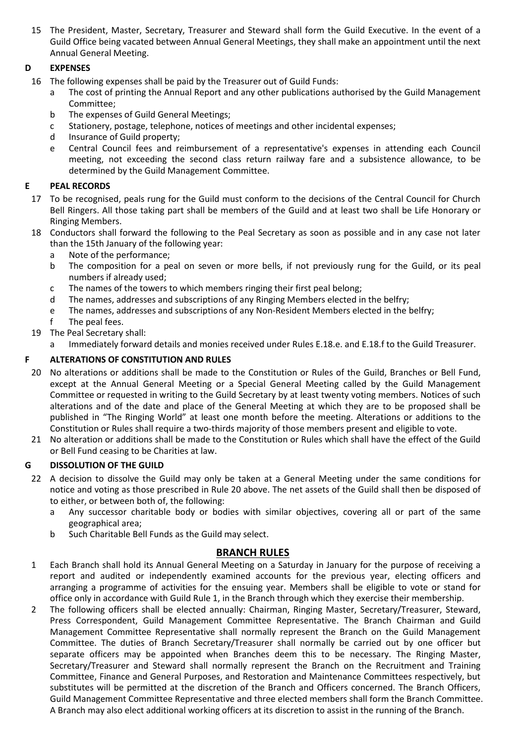15 The President, Master, Secretary, Treasurer and Steward shall form the Guild Executive. In the event of a Guild Office being vacated between Annual General Meetings, they shall make an appointment until the next Annual General Meeting.

## **D EXPENSES**

- 16 The following expenses shall be paid by the Treasurer out of Guild Funds:
	- a The cost of printing the Annual Report and any other publications authorised by the Guild Management Committee;
	- b The expenses of Guild General Meetings;
	- c Stationery, postage, telephone, notices of meetings and other incidental expenses;
	- d Insurance of Guild property;
	- e Central Council fees and reimbursement of a representative's expenses in attending each Council meeting, not exceeding the second class return railway fare and a subsistence allowance, to be determined by the Guild Management Committee.

### **E PEAL RECORDS**

- 17 To be recognised, peals rung for the Guild must conform to the decisions of the Central Council for Church Bell Ringers. All those taking part shall be members of the Guild and at least two shall be Life Honorary or Ringing Members.
- 18 Conductors shall forward the following to the Peal Secretary as soon as possible and in any case not later than the 15th January of the following year:
	- a Note of the performance;
	- b The composition for a peal on seven or more bells, if not previously rung for the Guild, or its peal numbers if already used;
	- c The names of the towers to which members ringing their first peal belong;
	- d The names, addresses and subscriptions of any Ringing Members elected in the belfry;
	- e The names, addresses and subscriptions of any Non-Resident Members elected in the belfry;
	- f The peal fees.
- 19 The Peal Secretary shall:
	- Immediately forward details and monies received under Rules E.18.e. and E.18.f to the Guild Treasurer.

#### **F ALTERATIONS OF CONSTITUTION AND RULES**

- 20 No alterations or additions shall be made to the Constitution or Rules of the Guild, Branches or Bell Fund, except at the Annual General Meeting or a Special General Meeting called by the Guild Management Committee or requested in writing to the Guild Secretary by at least twenty voting members. Notices of such alterations and of the date and place of the General Meeting at which they are to be proposed shall be published in "The Ringing World" at least one month before the meeting. Alterations or additions to the Constitution or Rules shall require a two-thirds majority of those members present and eligible to vote.
- 21 No alteration or additions shall be made to the Constitution or Rules which shall have the effect of the Guild or Bell Fund ceasing to be Charities at law.

#### **G DISSOLUTION OF THE GUILD**

- 22 A decision to dissolve the Guild may only be taken at a General Meeting under the same conditions for notice and voting as those prescribed in Rule 20 above. The net assets of the Guild shall then be disposed of to either, or between both of, the following:
	- a Any successor charitable body or bodies with similar objectives, covering all or part of the same geographical area;
	- b Such Charitable Bell Funds as the Guild may select.

#### **BRANCH RULES**

- 1 Each Branch shall hold its Annual General Meeting on a Saturday in January for the purpose of receiving a report and audited or independently examined accounts for the previous year, electing officers and arranging a programme of activities for the ensuing year. Members shall be eligible to vote or stand for office only in accordance with Guild Rule 1, in the Branch through which they exercise their membership.
- 2 The following officers shall be elected annually: Chairman, Ringing Master, Secretary/Treasurer, Steward, Press Correspondent, Guild Management Committee Representative. The Branch Chairman and Guild Management Committee Representative shall normally represent the Branch on the Guild Management Committee. The duties of Branch Secretary/Treasurer shall normally be carried out by one officer but separate officers may be appointed when Branches deem this to be necessary. The Ringing Master, Secretary/Treasurer and Steward shall normally represent the Branch on the Recruitment and Training Committee, Finance and General Purposes, and Restoration and Maintenance Committees respectively, but substitutes will be permitted at the discretion of the Branch and Officers concerned. The Branch Officers, Guild Management Committee Representative and three elected members shall form the Branch Committee. A Branch may also elect additional working officers at its discretion to assist in the running of the Branch.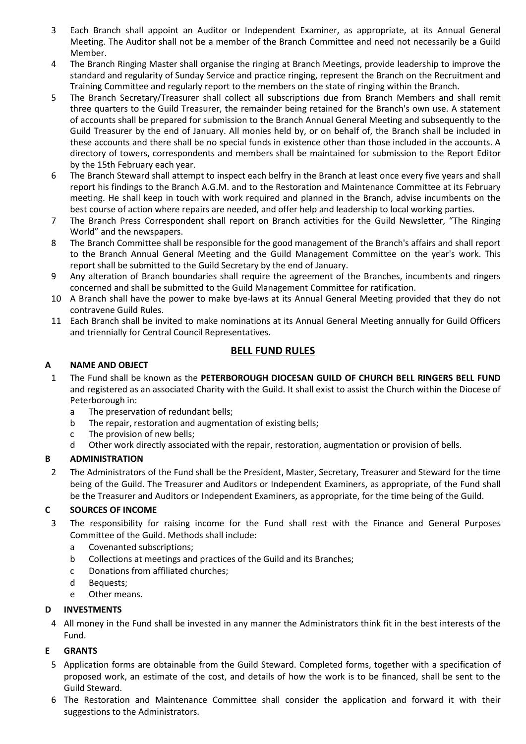- 3 Each Branch shall appoint an Auditor or Independent Examiner, as appropriate, at its Annual General Meeting. The Auditor shall not be a member of the Branch Committee and need not necessarily be a Guild Member.
- 4 The Branch Ringing Master shall organise the ringing at Branch Meetings, provide leadership to improve the standard and regularity of Sunday Service and practice ringing, represent the Branch on the Recruitment and Training Committee and regularly report to the members on the state of ringing within the Branch.
- 5 The Branch Secretary/Treasurer shall collect all subscriptions due from Branch Members and shall remit three quarters to the Guild Treasurer, the remainder being retained for the Branch's own use. A statement of accounts shall be prepared for submission to the Branch Annual General Meeting and subsequently to the Guild Treasurer by the end of January. All monies held by, or on behalf of, the Branch shall be included in these accounts and there shall be no special funds in existence other than those included in the accounts. A directory of towers, correspondents and members shall be maintained for submission to the Report Editor by the 15th February each year.
- 6 The Branch Steward shall attempt to inspect each belfry in the Branch at least once every five years and shall report his findings to the Branch A.G.M. and to the Restoration and Maintenance Committee at its February meeting. He shall keep in touch with work required and planned in the Branch, advise incumbents on the best course of action where repairs are needed, and offer help and leadership to local working parties.
- 7 The Branch Press Correspondent shall report on Branch activities for the Guild Newsletter, "The Ringing World" and the newspapers.
- 8 The Branch Committee shall be responsible for the good management of the Branch's affairs and shall report to the Branch Annual General Meeting and the Guild Management Committee on the year's work. This report shall be submitted to the Guild Secretary by the end of January.
- 9 Any alteration of Branch boundaries shall require the agreement of the Branches, incumbents and ringers concerned and shall be submitted to the Guild Management Committee for ratification.
- 10 A Branch shall have the power to make bye-laws at its Annual General Meeting provided that they do not contravene Guild Rules.
- 11 Each Branch shall be invited to make nominations at its Annual General Meeting annually for Guild Officers and triennially for Central Council Representatives.

# **BELL FUND RULES**

### **A NAME AND OBJECT**

- 1 The Fund shall be known as the **PETERBOROUGH DIOCESAN GUILD OF CHURCH BELL RINGERS BELL FUND** and registered as an associated Charity with the Guild. It shall exist to assist the Church within the Diocese of Peterborough in:
	- a The preservation of redundant bells;
	- b The repair, restoration and augmentation of existing bells;
	- c The provision of new bells;
	- d Other work directly associated with the repair, restoration, augmentation or provision of bells.

## **B ADMINISTRATION**

2 The Administrators of the Fund shall be the President, Master, Secretary, Treasurer and Steward for the time being of the Guild. The Treasurer and Auditors or Independent Examiners, as appropriate, of the Fund shall be the Treasurer and Auditors or Independent Examiners, as appropriate, for the time being of the Guild.

## **C SOURCES OF INCOME**

- 3 The responsibility for raising income for the Fund shall rest with the Finance and General Purposes Committee of the Guild. Methods shall include:
	- a Covenanted subscriptions;
	- b Collections at meetings and practices of the Guild and its Branches;
	- c Donations from affiliated churches;
	- d Bequests;
	- e Other means.

#### **D INVESTMENTS**

4 All money in the Fund shall be invested in any manner the Administrators think fit in the best interests of the Fund.

## **E GRANTS**

- 5 Application forms are obtainable from the Guild Steward. Completed forms, together with a specification of proposed work, an estimate of the cost, and details of how the work is to be financed, shall be sent to the Guild Steward.
- 6 The Restoration and Maintenance Committee shall consider the application and forward it with their suggestions to the Administrators.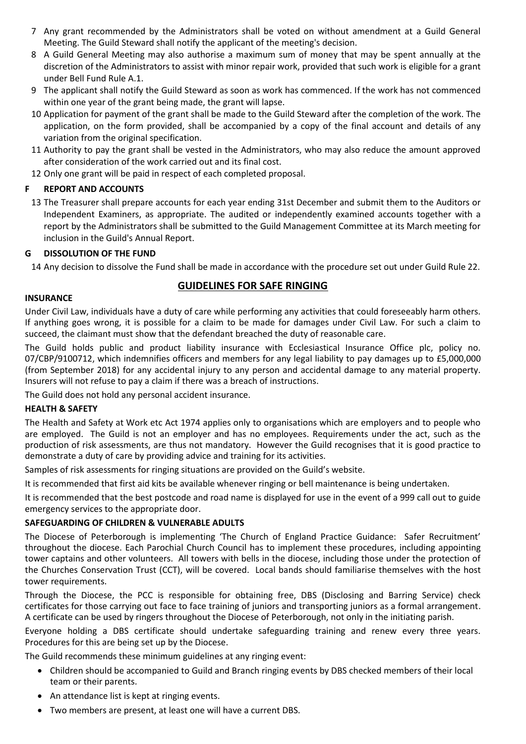- 7 Any grant recommended by the Administrators shall be voted on without amendment at a Guild General Meeting. The Guild Steward shall notify the applicant of the meeting's decision.
- 8 A Guild General Meeting may also authorise a maximum sum of money that may be spent annually at the discretion of the Administrators to assist with minor repair work, provided that such work is eligible for a grant under Bell Fund Rule A.1.
- 9 The applicant shall notify the Guild Steward as soon as work has commenced. If the work has not commenced within one year of the grant being made, the grant will lapse.
- 10 Application for payment of the grant shall be made to the Guild Steward after the completion of the work. The application, on the form provided, shall be accompanied by a copy of the final account and details of any variation from the original specification.
- 11 Authority to pay the grant shall be vested in the Administrators, who may also reduce the amount approved after consideration of the work carried out and its final cost.
- 12 Only one grant will be paid in respect of each completed proposal.

## **F REPORT AND ACCOUNTS**

13 The Treasurer shall prepare accounts for each year ending 31st December and submit them to the Auditors or Independent Examiners, as appropriate. The audited or independently examined accounts together with a report by the Administrators shall be submitted to the Guild Management Committee at its March meeting for inclusion in the Guild's Annual Report.

#### **G DISSOLUTION OF THE FUND**

14 Any decision to dissolve the Fund shall be made in accordance with the procedure set out under Guild Rule 22.

## **GUIDELINES FOR SAFE RINGING**

#### **INSURANCE**

Under Civil Law, individuals have a duty of care while performing any activities that could foreseeably harm others. If anything goes wrong, it is possible for a claim to be made for damages under Civil Law. For such a claim to succeed, the claimant must show that the defendant breached the duty of reasonable care.

The Guild holds public and product liability insurance with Ecclesiastical Insurance Office plc, policy no. 07/CBP/9100712, which indemnifies officers and members for any legal liability to pay damages up to £5,000,000 (from September 2018) for any accidental injury to any person and accidental damage to any material property. Insurers will not refuse to pay a claim if there was a breach of instructions.

The Guild does not hold any personal accident insurance.

#### **HEALTH & SAFETY**

The Health and Safety at Work etc Act 1974 applies only to organisations which are employers and to people who are employed. The Guild is not an employer and has no employees. Requirements under the act, such as the production of risk assessments, are thus not mandatory. However the Guild recognises that it is good practice to demonstrate a duty of care by providing advice and training for its activities.

Samples of risk assessments for ringing situations are provided on the Guild's website.

It is recommended that first aid kits be available whenever ringing or bell maintenance is being undertaken.

It is recommended that the best postcode and road name is displayed for use in the event of a 999 call out to guide emergency services to the appropriate door.

#### **SAFEGUARDING OF CHILDREN & VULNERABLE ADULTS**

The Diocese of Peterborough is implementing 'The Church of England Practice Guidance: Safer Recruitment' throughout the diocese. Each Parochial Church Council has to implement these procedures, including appointing tower captains and other volunteers. All towers with bells in the diocese, including those under the protection of the Churches Conservation Trust (CCT), will be covered. Local bands should familiarise themselves with the host tower requirements.

Through the Diocese, the PCC is responsible for obtaining free, DBS (Disclosing and Barring Service) check certificates for those carrying out face to face training of juniors and transporting juniors as a formal arrangement. A certificate can be used by ringers throughout the Diocese of Peterborough, not only in the initiating parish.

Everyone holding a DBS certificate should undertake safeguarding training and renew every three years. Procedures for this are being set up by the Diocese.

The Guild recommends these minimum guidelines at any ringing event:

- Children should be accompanied to Guild and Branch ringing events by DBS checked members of their local team or their parents.
- An attendance list is kept at ringing events.
- Two members are present, at least one will have a current DBS.